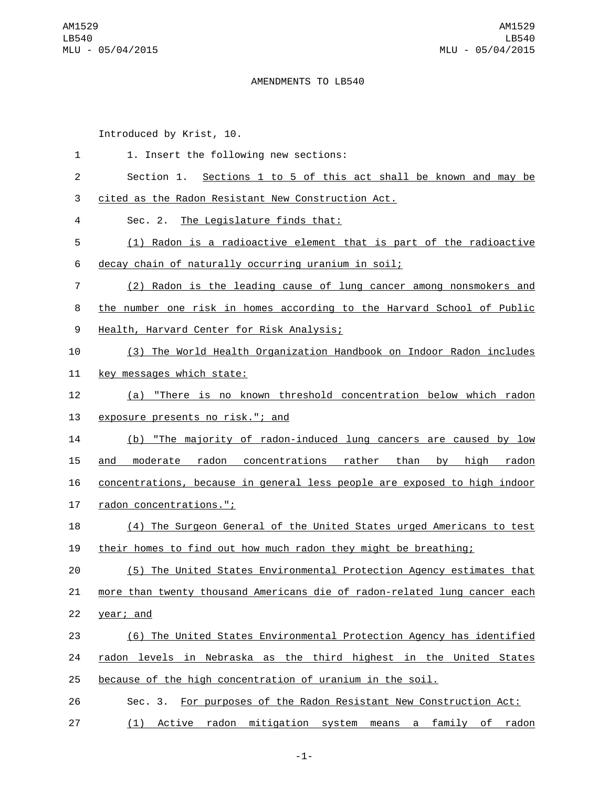## AMENDMENTS TO LB540

Introduced by Krist, 10.

| 1              | 1. Insert the following new sections:                                          |
|----------------|--------------------------------------------------------------------------------|
| $\overline{c}$ | Section 1. Sections 1 to 5 of this act shall be known and may be               |
| 3              | cited as the Radon Resistant New Construction Act.                             |
| 4              | Sec. 2. The Legislature finds that:                                            |
| 5              | (1) Radon is a radioactive element that is part of the radioactive             |
| 6              | decay chain of naturally occurring uranium in soil;                            |
| 7              | (2) Radon is the leading cause of lung cancer among nonsmokers and             |
| 8              | the number one risk in homes according to the Harvard School of Public         |
| 9              | Health, Harvard Center for Risk Analysis;                                      |
| 10             | (3) The World Health Organization Handbook on Indoor Radon includes            |
| 11             | <u>key messages which state:</u>                                               |
| 12             | (a) "There is no known threshold concentration below which radon               |
| 13             | exposure presents no risk."; and                                               |
| 14             | (b) "The majority of radon-induced lung cancers are caused by low              |
| 15             | moderate radon concentrations rather than<br><u>high</u><br>radon<br>and<br>by |
| 16             | concentrations, because in general less people are exposed to high indoor      |
| 17             | radon concentrations.";                                                        |
| 18             | (4) The Surgeon General of the United States urged Americans to test           |
| 19             | their homes to find out how much radon they might be breathing;                |
| 20             | (5) The United States Environmental Protection Agency estimates that           |
| 21             | more than twenty thousand Americans die of radon-related lung cancer each      |
| 22             | year; and                                                                      |
| 23             | (6) The United States Environmental Protection Agency has identified           |
| 24             | radon levels in Nebraska as the third highest in the United States             |
| 25             | because of the high concentration of uranium in the soil.                      |
| 26             | Sec. 3. For purposes of the Radon Resistant New Construction Act:              |
| 27             | Active radon<br>mitigation system<br>(1)<br>means a family of radon            |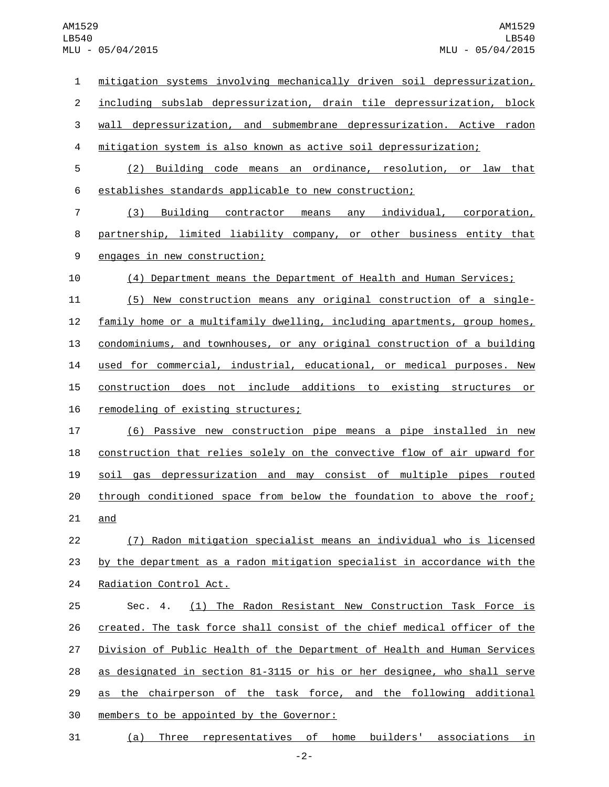mitigation systems involving mechanically driven soil depressurization, including subslab depressurization, drain tile depressurization, block wall depressurization, and submembrane depressurization. Active radon mitigation system is also known as active soil depressurization; (2) Building code means an ordinance, resolution, or law that establishes standards applicable to new construction; (3) Building contractor means any individual, corporation, 8 partnership, limited liability company, or other business entity that 9 engages in new construction; (4) Department means the Department of Health and Human Services; (5) New construction means any original construction of a single- family home or a multifamily dwelling, including apartments, group homes, condominiums, and townhouses, or any original construction of a building used for commercial, industrial, educational, or medical purposes. New construction does not include additions to existing structures or 16 remodeling of existing structures; (6) Passive new construction pipe means a pipe installed in new construction that relies solely on the convective flow of air upward for soil gas depressurization and may consist of multiple pipes routed through conditioned space from below the foundation to above the roof; and (7) Radon mitigation specialist means an individual who is licensed by the department as a radon mitigation specialist in accordance with the 24 Radiation Control Act. Sec. 4. (1) The Radon Resistant New Construction Task Force is created. The task force shall consist of the chief medical officer of the Division of Public Health of the Department of Health and Human Services as designated in section 81-3115 or his or her designee, who shall serve as the chairperson of the task force, and the following additional 30 members to be appointed by the Governor: (a) Three representatives of home builders' associations in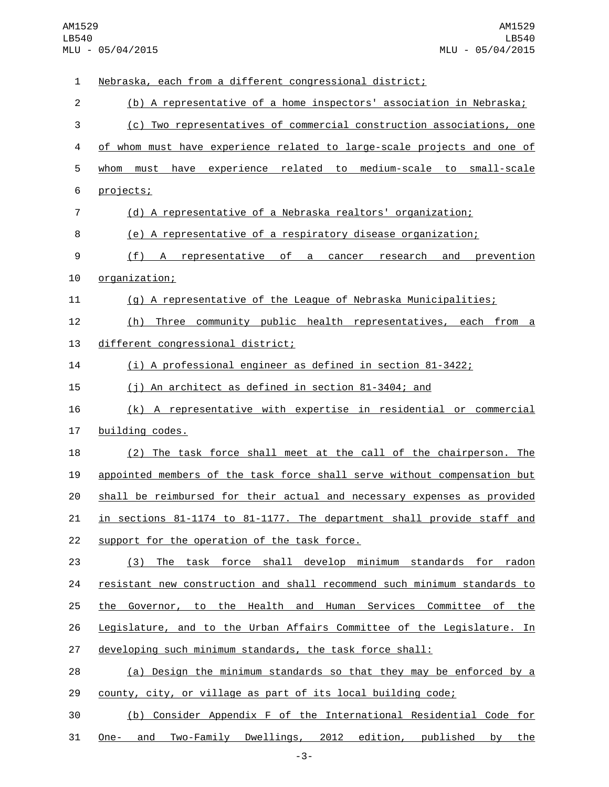Nebraska, each from a different congressional district; (b) A representative of a home inspectors' association in Nebraska; (c) Two representatives of commercial construction associations, one of whom must have experience related to large-scale projects and one of whom must have experience related to medium-scale to small-scale 6 projects; (d) A representative of a Nebraska realtors' organization; (e) A representative of a respiratory disease organization; (f) A representative of a cancer research and prevention 10 organization; (g) A representative of the League of Nebraska Municipalities; (h) Three community public health representatives, each from a 13 different congressional district; (i) A professional engineer as defined in section 81-3422; (j) An architect as defined in section 81-3404; and (k) A representative with expertise in residential or commercial 17 building codes. (2) The task force shall meet at the call of the chairperson. The appointed members of the task force shall serve without compensation but shall be reimbursed for their actual and necessary expenses as provided in sections 81-1174 to 81-1177. The department shall provide staff and 22 support for the operation of the task force. (3) The task force shall develop minimum standards for radon 24 resistant new construction and shall recommend such minimum standards to the Governor, to the Health and Human Services Committee of the Legislature, and to the Urban Affairs Committee of the Legislature. In 27 developing such minimum standards, the task force shall: (a) Design the minimum standards so that they may be enforced by a county, city, or village as part of its local building code; (b) Consider Appendix F of the International Residential Code for One- and Two-Family Dwellings, 2012 edition, published by the